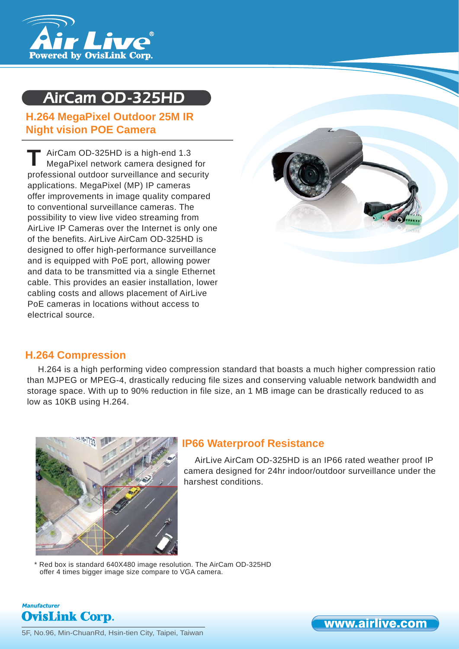

# AirCam OD-325HD

# **H.264 MegaPixel Outdoor 25M IR Night vision POE Camera**

AirCam OD-325HD is a high-end 1.3 MegaPixel network camera designed for professional outdoor surveillance and security applications. MegaPixel (MP) IP cameras offer improvements in image quality compared to conventional surveillance cameras. The possibility to view live video streaming from AirLive IP Cameras over the Internet is only one of the benefits. AirLive AirCam OD-325HD is designed to offer high-performance surveillance and is equipped with PoE port, allowing power and data to be transmitted via a single Ethernet cable. This provides an easier installation, lower cabling costs and allows placement of AirLive PoE cameras in locations without access to electrical source. **T**



# **H.264 Compression**

H.264 is a high performing video compression standard that boasts a much higher compression ratio than MJPEG or MPEG-4, drastically reducing file sizes and conserving valuable network bandwidth and storage space. With up to 90% reduction in file size, an 1 MB image can be drastically reduced to as low as 10KB using H.264.



# **IP66 Waterproof Resistance**

AirLive AirCam OD-325HD is an IP66 rated weather proof IP camera designed for 24hr indoor/outdoor surveillance under the harshest conditions.

www.airlive.com

Red box is standard 640X480 image resolution. The AirCam OD-325HD offer 4 times bigger image size compare to VGA camera.

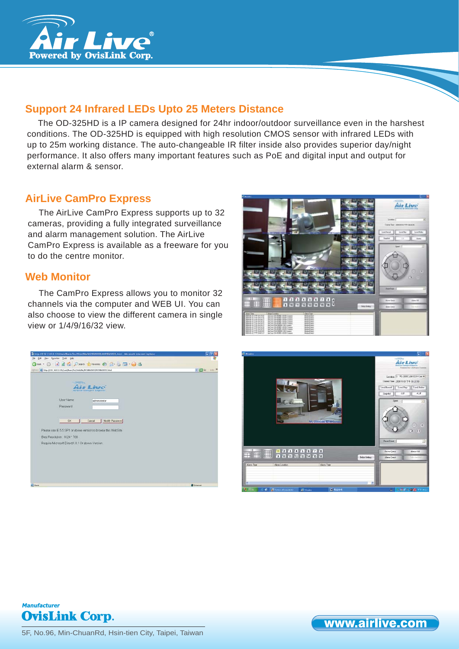

# **Support 24 Infrared LEDs Upto 25 Meters Distance**

The OD-325HD is a IP camera designed for 24hr indoor/outdoor surveillance even in the harshest conditions. The OD-325HD is equipped with high resolution CMOS sensor with infrared LEDs with up to 25m working distance. The auto-changeable IR filter inside also provides superior day/night performance. It also offers many important features such as PoE and digital input and output for external alarm & sensor.

# **AirLive CamPro Express**

The AirLive CamPro Express supports up to 32 cameras, providing a fully integrated surveillance and alarm management solution. The AirLive CamPro Express is available as a freeware for you to do the centre monitor.

## **Web Monitor**

The CamPro Express allows you to monitor 32 channels via the computer and WEB UI. You can also choose to view the different camera in single view or 1/4/9/16/32 view.









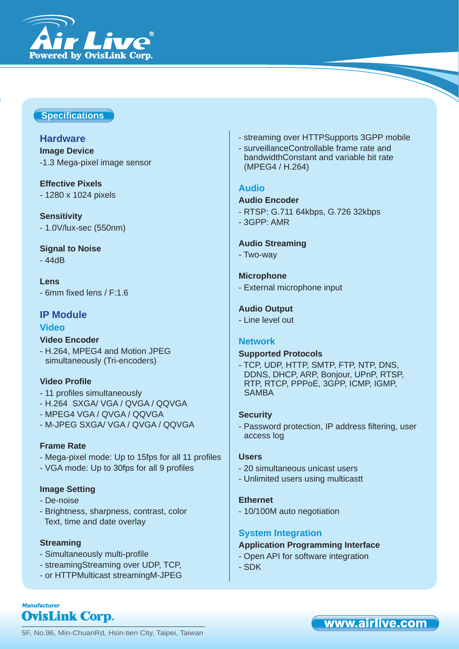

### **Specifi cations**

### **Hardware**

**Image Device** -1.3 Mega-pixel image sensor

# **Effective Pixels**

- 1280 x 1024 pixels

**Sensitivity** - 1.0V/lux-sec (550nm)

### **Signal to Noise**

- 44dB

**Lens** - 6mm fixed lens / F:1.6

### **IP Module**

#### **Video**

## **Video Encoder**

- H.264, MPEG4 and Motion JPEG simultaneously (Tri-encoders)

#### **Video Profile**

- 11 profiles simultaneously
- H.264 SXGA/ VGA / QVGA / QQVGA
- MPEG4 VGA / QVGA / QQVGA
- M-JPEG SXGA/ VGA / QVGA / QQVGA

#### **Frame Rate**

- Mega-pixel mode: Up to 15fps for all 11 profiles
- VGA mode: Up to 30fps for all 9 profiles

#### **Image Setting**

- De-noise
- Brightness, sharpness, contrast, color Text, time and date overlay

#### **Streaming**

- Simultaneously multi-profile
- streamingStreaming over UDP, TCP,
- or HTTPMulticast streamingM-JPEG
- streaming over HTTPSupports 3GPP mobile
- surveillanceControllable frame rate and bandwidthConstant and variable bit rate (MPEG4 / H.264)

#### **Audio**

#### **Audio Encoder**

- RTSP: G.711 64kbps, G.726 32kbps
- 3GPP: AMR

#### **Audio Streaming**

- Two-way

#### **Microphone**

- External microphone input

#### **Audio Output**

- Line level out

#### **Network**

#### **Supported Protocols**

- TCP, UDP, HTTP, SMTP, FTP, NTP, DNS, DDNS, DHCP, ARP, Bonjour, UPnP, RTSP, RTP, RTCP, PPPoE, 3GPP, ICMP, IGMP, SAMBA

#### **Security**

- Password protection, IP address filtering, user access log

#### **Users**

- 20 simultaneous unicast users
- Unlimited users using multicastt

#### **Ethernet**

- 10/100M auto negotiation

### **System Integration**

#### **Application Programming Interface**

- Open API for software integration
- SDK

5F, No.96, Min-ChuanRd, Hsin-tien City, Taipei, Taiwan

# www.airlive.com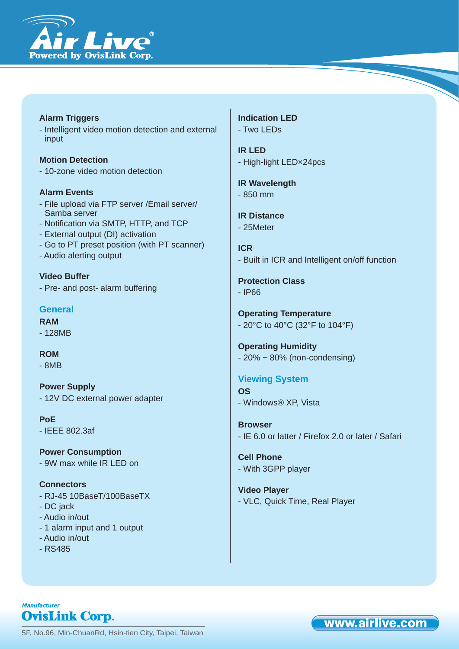

**Alarm Triggers** - Intelligent video motion detection and external input

**Motion Detection** - 10-zone video motion detection

#### **Alarm Events**

- File upload via FTP server /Email server/ Samba server
- Notification via SMTP, HTTP, and TCP
- External output (DI) activation
- Go to PT preset position (with PT scanner)
- Audio alerting output

**Video Buffer** - Pre- and post- alarm buffering

#### **General**

**RAM** - 128MB

#### **ROM**

- 8MB

**Power Supply** - 12V DC external power adapter

**PoE** - IEEE 802.3af

**Power Consumption** - 9W max while IR LED on

**Connectors**

- RJ-45 10BaseT/100BaseTX
- DC jack
- Audio in/out
- 1 alarm input and 1 output
- Audio in/out
- RS485

**Indication LED** - Two LEDs

**IR LED** - High-light LED×24pcs

**IR Wavelength** - 850 mm

**IR Distance** - 25Meter

**ICR** - Built in ICR and Intelligent on/off function

**Protection Class** - IP66

**Operating Temperature** - 20°C to 40°C (32°F to 104°F)

**Operating Humidity**  $-20\% \sim 80\%$  (non-condensing)

**Viewing System OS** - Windows® XP, Vista

**Browser** - IE 6.0 or latter / Firefox 2.0 or later / Safari

www.airlive.com

**Cell Phone** - With 3GPP player

**Video Player** - VLC, Quick Time, Real Player